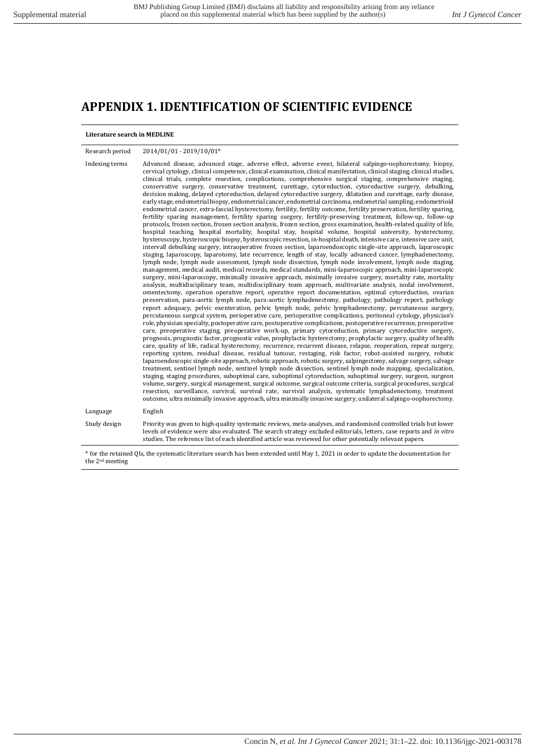## **APPENDIX 1. IDENTIFICATION OF SCIENTIFIC EVIDENCE**

#### **Literature search in MEDLINE**

| Research period | 2014/01/01 - 2019/10/01*                                                                                                                                                                                                                                                                                                                                                                                                                                                                                                                                                                                                                                                                                                                                                                                                                                                                                                                                                                                                                                                                                                                                                                                                                                                                                                                                                                                                                                                                                                                                                                                                                                                                                                                                                                                                                                                                                                                                                                                                                                                                                                                                                                                                                                                                                                                                                                                                                                                                                                                                                                                                                                                                                                                                                                                                                                                                                                                                                                                                                                                                                                                                                                                                                                                                                                                                                                                                                                                                                                                                                                                                                                                                                                                                                   |
|-----------------|----------------------------------------------------------------------------------------------------------------------------------------------------------------------------------------------------------------------------------------------------------------------------------------------------------------------------------------------------------------------------------------------------------------------------------------------------------------------------------------------------------------------------------------------------------------------------------------------------------------------------------------------------------------------------------------------------------------------------------------------------------------------------------------------------------------------------------------------------------------------------------------------------------------------------------------------------------------------------------------------------------------------------------------------------------------------------------------------------------------------------------------------------------------------------------------------------------------------------------------------------------------------------------------------------------------------------------------------------------------------------------------------------------------------------------------------------------------------------------------------------------------------------------------------------------------------------------------------------------------------------------------------------------------------------------------------------------------------------------------------------------------------------------------------------------------------------------------------------------------------------------------------------------------------------------------------------------------------------------------------------------------------------------------------------------------------------------------------------------------------------------------------------------------------------------------------------------------------------------------------------------------------------------------------------------------------------------------------------------------------------------------------------------------------------------------------------------------------------------------------------------------------------------------------------------------------------------------------------------------------------------------------------------------------------------------------------------------------------------------------------------------------------------------------------------------------------------------------------------------------------------------------------------------------------------------------------------------------------------------------------------------------------------------------------------------------------------------------------------------------------------------------------------------------------------------------------------------------------------------------------------------------------------------------------------------------------------------------------------------------------------------------------------------------------------------------------------------------------------------------------------------------------------------------------------------------------------------------------------------------------------------------------------------------------------------------------------------------------------------------------------------------------|
| Indexing terms  | Advanced disease, advanced stage, adverse effect, adverse event, bilateral salpingo-oophorectomy, biopsy,<br>cervical cytology, clinical competence, clinical examination, clinical manifestation, clinical staging, clinical studies,<br>clinical trials, complete resection, complications, comprehensive surgical staging, comprehensive staging,<br>conservative surgery, conservative treatment, curettage, cytoreduction, cytoreductive surgery, debulking,<br>decision making, delayed cytoreduction, delayed cytoreductive surgery, dilatation and curettage, early disease,<br>early stage, endometrial biopsy, endometrial cancer, endometrial carcinoma, endometrial sampling, endometrioid<br>endometrial cancer, extra-fascial hysterectomy, fertility, fertility outcome, fertility preservation, fertility sparing,<br>fertility sparing management, fertility sparing surgery, fertility-preserving treatment, follow-up, follow-up<br>protocols, frozen section, frozen section analysis, frozen section, gross examination, health-related quality of life,<br>hospital teaching, hospital mortality, hospital stay, hospital volume, hospital university, hysterectomy,<br>hysteroscopy, hysteroscopic biopsy, hysteroscopic resection, in-hospital death, intensive care, intensive care unit,<br>intervall debulking surgery, intraoperative frozen section, laparoendoscopic single-site approach, laparoscopic<br>staging, laparoscopy, laparotomy, late recurrence, length of stay, locally advanced cancer, lymphadenectomy,<br>lymph node, lymph node assessment, lymph node dissection, lymph node involvement, lymph node staging,<br>management, medical audit, medical records, medical standards, mini-laparoscopic approach, mini-laparoscopic<br>surgery, mini-laparoscopy, minimally invasive approach, minimally invasive surgery, mortality rate, mortality<br>analysis, multidisciplinary team, multidisciplinary team approach, multivariate analysis, nodal involvement,<br>omentectomy, operation operative report, operative report documentation, optimal cytoreduction, ovarian<br>preservation, para-aortic lymph node, para-aortic lymphadenectomy, pathology, pathology report, pathology<br>report adequacy, pelvic exenteration, pelvic lymph node, pelvic lymphadenectomy, percutaneous surgery,<br>percutaneous surgical system, perioperative care, perioperative complications, peritoneal cytology, physician's<br>role, physician specialty, postoperative care, postoperative complications, postoperative recurrence, preoperative<br>care, preoperative staging, preoperative work-up, primary cytoreduction, primary cytoreductive surgery,<br>prognosis, prognostic factor, prognostic value, prophylactic hysterectomy, prophylactic surgery, quality of health<br>care, quality of life, radical hysterectomy, recurrence, recurrent disease, relapse, reoperation, repeat surgery,<br>reporting system, residual disease, residual tumour, restaging, risk factor, robot-assisted surgery, robotic<br>laparoendoscopic single-site approach, robotic approach, robotic surgery, salpingectomy, salvage surgery, salvage<br>treatment, sentinel lymph node, sentinel lymph node dissection, sentinel lymph node mapping, specialization,<br>staging, staging procedures, suboptimal care, suboptimal cytoreduction, suboptimal surgery, surgeon, surgeon<br>volume, surgery, surgical management, surgical outcome, surgical outcome criteria, surgical procedures, surgical<br>resection, surveillance, survival, survival rate, survival analysis, systematic lymphadenectomy, treatment<br>outcome, ultra minimally invasive approach, ultra minimally invasive surgery, unilateral salpingo-oophorectomy. |
| Language        | English                                                                                                                                                                                                                                                                                                                                                                                                                                                                                                                                                                                                                                                                                                                                                                                                                                                                                                                                                                                                                                                                                                                                                                                                                                                                                                                                                                                                                                                                                                                                                                                                                                                                                                                                                                                                                                                                                                                                                                                                                                                                                                                                                                                                                                                                                                                                                                                                                                                                                                                                                                                                                                                                                                                                                                                                                                                                                                                                                                                                                                                                                                                                                                                                                                                                                                                                                                                                                                                                                                                                                                                                                                                                                                                                                                    |
| Study design    | Priority was given to high-quality systematic reviews, meta-analyses, and randomised controlled trials but lower<br>levels of evidence were also evaluated. The search strategy excluded editorials, letters, case reports and in vitro<br>studies. The reference list of each identified article was reviewed for other potentially relevant papers.                                                                                                                                                                                                                                                                                                                                                                                                                                                                                                                                                                                                                                                                                                                                                                                                                                                                                                                                                                                                                                                                                                                                                                                                                                                                                                                                                                                                                                                                                                                                                                                                                                                                                                                                                                                                                                                                                                                                                                                                                                                                                                                                                                                                                                                                                                                                                                                                                                                                                                                                                                                                                                                                                                                                                                                                                                                                                                                                                                                                                                                                                                                                                                                                                                                                                                                                                                                                                      |

\* for the retained QIs, the systematic literature search has been extended until May 1, 2021 in order to update the documentation for the 2nd meeting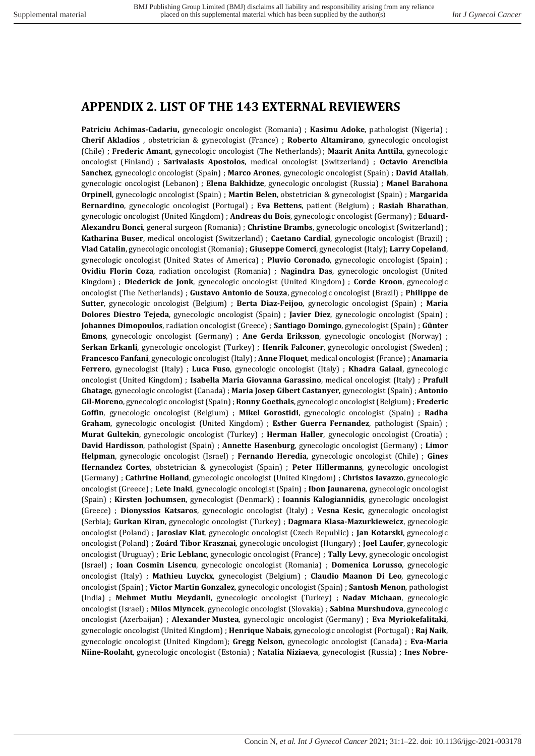### **APPENDIX 2. LIST OF THE 143 EXTERNAL REVIEWERS**

**Patriciu Achimas-Cadariu,** gynecologic oncologist (Romania) ; **Kasimu Adoke**, pathologist (Nigeria) ; **Cherif Akladios** , obstetrician & gynecologist (France) ; **Roberto Altamirano**, gynecologic oncologist (Chile) ; **Frederic Amant**, gynecologic oncologist (The Netherlands) ; **Maarit Anita Anttila**, gynecologic oncologist (Finland) ; **Sarivalasis Apostolos**, medical oncologist (Switzerland) ; **Octavio Arencibia Sanchez**, gynecologic oncologist (Spain) ; **Marco Arones**, gynecologic oncologist (Spain) ; **David Atallah**, gynecologic oncologist (Lebanon) ; **Elena Bakhidze**, gynecologic oncologist (Russia) ; **Manel Barahona Orpinell**, gynecologic oncologist (Spain) ; **Martin Belen**, obstetrician & gynecologist (Spain) ; **Margarida Bernardino**, gynecologic oncologist (Portugal) ; **Eva Bettens**, patient (Belgium) ; **Rasiah Bharathan**, gynecologic oncologist (United Kingdom) ; **Andreas du Bois**, gynecologic oncologist (Germany) ; **Eduard-Alexandru Bonci**, general surgeon (Romania) ; **Christine Brambs**, gynecologic oncologist (Switzerland) ; **Katharina Buser**, medical oncologist (Switzerland) ; **Caetano Cardial**, gynecologic oncologist (Brazil) ; **Vlad Catalin**, gynecologic oncologist (Romania) ; **Giuseppe Comerci**, gynecologist (Italy); **Larry Copeland**, gynecologic oncologist (United States of America) ; **Pluvio Coronado**, gynecologic oncologist (Spain) ; **Ovidiu Florin Coza**, radiation oncologist (Romania) ; **Nagindra Das**, gynecologic oncologist (United Kingdom) ; **Diederick de Jonk**, gynecologic oncologist (United Kingdom) ; **Corde Kroon**, gynecologic oncologist (The Netherlands) ; **Gustavo Antonio de Souza**, gynecologic oncologist (Brazil) ; **Philippe de Sutter**, gynecologic oncologist (Belgium) ; **Berta Diaz-Feijoo**, gynecologic oncologist (Spain) ; **Maria Dolores Diestro Tejeda**, gynecologic oncologist (Spain) ; **Javier Diez**, gynecologic oncologist (Spain) ; **Johannes Dimopoulos**, radiation oncologist (Greece) ; **Santiago Domingo**, gynecologist (Spain) ; **Günter Emons**, gynecologic oncologist (Germany) ; **Ane Gerda Eriksson**, gynecologic oncologist (Norway) ; **Serkan Erkanli**, gynecologic oncologist (Turkey) ; **Henrik Falconer**, gynecologic oncologist (Sweden) ; **Francesco Fanfani**, gynecologic oncologist (Italy) ; **Anne Floquet**, medical oncologist (France) ; **Anamaria Ferrero**, gynecologist (Italy) ; **Luca Fuso**, gynecologic oncologist (Italy) ; **Khadra Galaal**, gynecologic oncologist (United Kingdom) ; **Isabella Maria Giovanna Garassino**, medical oncologist (Italy) ; **Prafull Ghatage**, gynecologic oncologist (Canada) ; **Maria Josep Gibert Castanyer**, gynecologist (Spain) ; **Antonio Gil-Moreno**, gynecologic oncologist (Spain) ; **Ronny Goethals**, gynecologic oncologist (Belgium) ; **Frederic Goffin**, gynecologic oncologist (Belgium) ; **Mikel Gorostidi**, gynecologic oncologist (Spain) ; **Radha Graham**, gynecologic oncologist (United Kingdom) ; **Esther Guerra Fernandez**, pathologist (Spain) ; **Murat Gultekin**, gynecologic oncologist (Turkey) ; **Herman Haller**, gynecologic oncologist (Croatia) ; **David Hardisson**, pathologist (Spain) ; **Annette Hasenburg**, gynecologic oncologist (Germany) ; **Limor Helpman**, gynecologic oncologist (Israel) ; **Fernando Heredia**, gynecologic oncologist (Chile) ; **Gines Hernandez Cortes**, obstetrician & gynecologist (Spain) ; **Peter Hillermanns**, gynecologic oncologist (Germany) ; **Cathrine Holland**, gynecologic oncologist (United Kingdom) ; **Christos Iavazzo**, gynecologic oncologist (Greece) ; **Lete Inaki**, gynecologic oncologist (Spain) ; **Ibon Jaunarena**, gynecologic oncologist (Spain) ; **Kirsten Jochumsen**, gynecologist (Denmark) ; **Ioannis Kalogiannidis**, gynecologic oncologist (Greece) ; **Dionyssios Katsaros**, gynecologic oncologist (Italy) ; **Vesna Kesic**, gynecologic oncologist (Serbia); **Gurkan Kiran**, gynecologic oncologist (Turkey) ; **Dagmara Klasa-Mazurkieweicz**, gynecologic oncologist (Poland) ; **Jaroslav Klat**, gynecologic oncologist (Czech Republic) ; **Jan Kotarski**, gynecologic oncologist (Poland) ; **Zoárd Tibor Krasznai**, gynecologic oncologist (Hungary) ; **Joel Laufer**, gynecologic oncologist (Uruguay) ; **Eric Leblanc**, gynecologic oncologist (France) ; **Tally Levy**, gynecologic oncologist (Israel) ; **Ioan Cosmin Lisencu**, gynecologic oncologist (Romania) ; **Domenica Lorusso**, gynecologic oncologist (Italy) ; **Mathieu Luyckx**, gynecologist (Belgium) ; **Claudio Maanon Di Leo**, gynecologic oncologist (Spain) ; **Victor Martin Gonzalez**, gynecologic oncologist (Spain) ; **Santosh Menon**, pathologist (India) ; **Mehmet Mutlu Meydanli**, gynecologic oncologist (Turkey) ; **Nadav Michaan**, gynecologic oncologist (Israel) ; **Milos Mlyncek**, gynecologic oncologist (Slovakia) ; **Sabina Murshudova**, gynecologic oncologist (Azerbaijan) ; **Alexander Mustea**, gynecologic oncologist (Germany) ; **Eva Myriokefalitaki**, gynecologic oncologist (United Kingdom) ; **Henrique Nabais**, gynecologic oncologist (Portugal) ; **Raj Naik**, gynecologic oncologist (United Kingdom); **Gregg Nelson**, gynecologic oncologist (Canada) ; **Eva-Maria Niine-Roolaht**, gynecologic oncologist (Estonia) ; **Natalia Niziaeva**, gynecologist (Russia) ; **Ines Nobre-**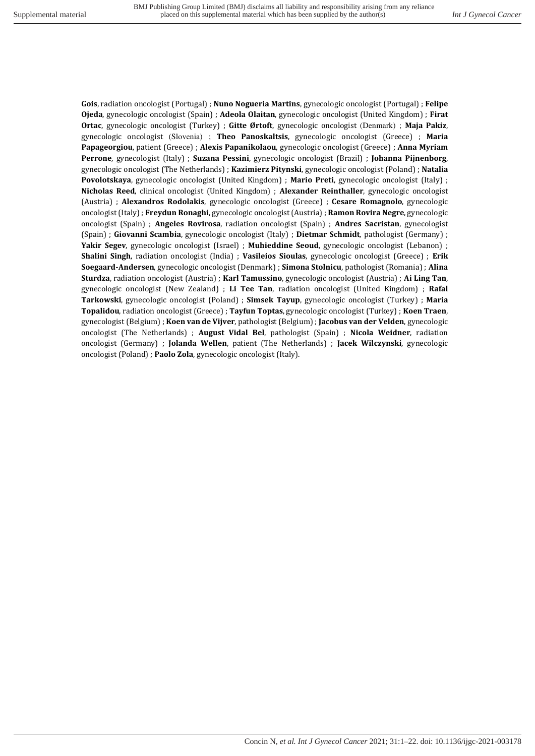**Gois**, radiation oncologist (Portugal) ; **Nuno Nogueria Martins**, gynecologic oncologist (Portugal) ; **Felipe Ojeda**, gynecologic oncologist (Spain) ; **Adeola Olaitan**, gynecologic oncologist (United Kingdom) ; **Firat Ortac**, gynecologic oncologist (Turkey) ; **Gitte Ørtoft**, gynecologic oncologist (Denmark) ; **Maja Pakiz**, gynecologic oncologist (Slovenia) ; **Theo Panoskaltsis**, gynecologic oncologist (Greece) ; **Maria Papageorgiou**, patient (Greece) ; **Alexis Papanikolaou**, gynecologic oncologist (Greece) ; **Anna Myriam Perrone**, gynecologist (Italy) ; **Suzana Pessini**, gynecologic oncologist (Brazil) ; **Johanna Pijnenborg**, gynecologic oncologist (The Netherlands) ; **Kazimierz Pitynski**, gynecologic oncologist (Poland) ; **Natalia Povolotskaya**, gynecologic oncologist (United Kingdom) ; **Mario Preti**, gynecologic oncologist (Italy) ; **Nicholas Reed**, clinical oncologist (United Kingdom) ; **Alexander Reinthaller**, gynecologic oncologist (Austria) ; **Alexandros Rodolakis**, gynecologic oncologist (Greece) ; **Cesare Romagnolo**, gynecologic oncologist (Italy) ; **Freydun Ronaghi**, gynecologic oncologist (Austria) ; **Ramon Rovira Negre**, gynecologic oncologist (Spain) ; **Angeles Rovirosa**, radiation oncologist (Spain) ; **Andres Sacristan**, gynecologist (Spain) ; **Giovanni Scambia**, gynecologic oncologist (Italy) ; **Dietmar Schmidt**, pathologist (Germany) ; **Yakir Segev**, gynecologic oncologist (Israel) ; **Muhieddine Seoud**, gynecologic oncologist (Lebanon) ; **Shalini Singh**, radiation oncologist (India) ; **Vasileios Sioulas**, gynecologic oncologist (Greece) ; **Erik Soegaard-Andersen**, gynecologic oncologist (Denmark) ; **Simona Stolnicu**, pathologist (Romania) ; **Alina Sturdza**, radiation oncologist (Austria) ; **Karl Tamussino**, gynecologic oncologist (Austria) ; **Ai Ling Tan**, gynecologic oncologist (New Zealand) ; **Li Tee Tan**, radiation oncologist (United Kingdom) ; **Rafal Tarkowski**, gynecologic oncologist (Poland) ; **Simsek Tayup**, gynecologic oncologist (Turkey) ; **Maria Topalidou**, radiation oncologist (Greece) ; **Tayfun Toptas**, gynecologic oncologist (Turkey) ; **Koen Traen**, gynecologist (Belgium) ; **Koen van de Vijver**, pathologist (Belgium) ; **Jacobus van der Velden**, gynecologic oncologist (The Netherlands) ; **August Vidal Bel**, pathologist (Spain) ; **Nicola Weidner**, radiation oncologist (Germany) ; **Jolanda Wellen**, patient (The Netherlands) ; **Jacek Wilczynski**, gynecologic oncologist (Poland) ; **Paolo Zola**, gynecologic oncologist (Italy).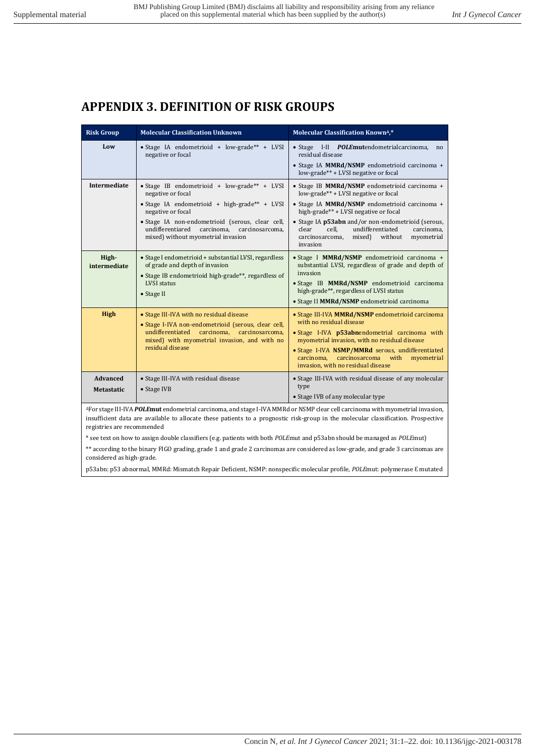# **APPENDIX 3. DEFINITION OF RISK GROUPS**

| <b>Risk Group</b>             | <b>Molecular Classification Unknown</b>                                                                                                                                                                                                                                                   | <b>Molecular Classification Known4,*</b>                                                                                                                                                                                                                                                                                                                 |  |  |  |
|-------------------------------|-------------------------------------------------------------------------------------------------------------------------------------------------------------------------------------------------------------------------------------------------------------------------------------------|----------------------------------------------------------------------------------------------------------------------------------------------------------------------------------------------------------------------------------------------------------------------------------------------------------------------------------------------------------|--|--|--|
| Low                           | • Stage IA endometrioid + low-grade** + LVSI<br>negative or focal                                                                                                                                                                                                                         | · Stage I-II POLEmutendometrialcarcinoma,<br>no<br>residual disease<br>• Stage IA MMRd/NSMP endometrioid carcinoma +<br>low-grade** + LVSI negative or focal                                                                                                                                                                                             |  |  |  |
| <b>Intermediate</b>           | • Stage IB endometrioid + $low\text{-}grade** + LVSI$<br>negative or focal<br>• Stage IA endometrioid + high-grade** + LVSI<br>negative or focal<br>· Stage IA non-endometrioid (serous, clear cell,<br>undifferentiared carcinoma, carcinosarcoma,<br>mixed) without myometrial invasion | • Stage IB MMRd/NSMP endometrioid carcinoma +<br>low-grade** + LVSI negative or focal<br>• Stage IA MMRd/NSMP endometrioid carcinoma +<br>high-grade** + LVSI negative or focal<br>• Stage IA p53abn and/or non-endometrioid (serous,<br>clear<br>cell.<br>undifferentiated<br>carcinoma.<br>mixed) without<br>myometrial<br>carcinosarcoma,<br>invasion |  |  |  |
| High-<br>intermediate         | • Stage I endometrioid + substantial LVSI, regardless<br>of grade and depth of invasion<br>• Stage IB endometrioid high-grade**, regardless of<br><b>LVSI</b> status<br>• Stage II                                                                                                        | · Stage I MMRd/NSMP endometrioid carcinoma +<br>substantial LVSI, regardless of grade and depth of<br>invasion<br>· Stage IB MMRd/NSMP endometrioid carcinoma<br>high-grade**, regardless of LVSI status<br>· Stage II MMRd/NSMP endometrioid carcinoma                                                                                                  |  |  |  |
| High                          | • Stage III-IVA with no residual disease<br>• Stage I-IVA non-endometrioid (serous, clear cell,<br>undifferentiated carcinoma, carcinosarcoma,<br>mixed) with myometrial invasion, and with no<br>residual disease                                                                        | • Stage III-IVA MMRd/NSMP endometrioid carcinoma<br>with no residual disease<br>· Stage I-IVA p53abnendometrial carcinoma with<br>myometrial invasion, with no residual disease<br>· Stage I-IVA NSMP/MMRd serous, undifferentiated<br>carcinoma. carcinosarcoma with<br>myometrial<br>invasion, with no residual disease                                |  |  |  |
| Advanced<br><b>Metastatic</b> | • Stage III-IVA with residual disease<br>• Stage IVB<br>Equators III IVA <b>DOI Emut</b> andomatrial carginama, and stage I IVA MMD don NCMD glass sell carginama with myomotrial invosion                                                                                                | • Stage III-IVA with residual disease of any molecular<br>type<br>• Stage IVB of any molecular type                                                                                                                                                                                                                                                      |  |  |  |

<sup>∆</sup>For stage III-IVA *POLE***mut** endometrial carcinoma, and stage I-IVA MMRd or NSMP clear cell carcinoma with myometrial invasion, insufficient data are available to allocate these patients to a prognostic risk-group in the molecular classification. Prospective registries are recommended

\* see text on how to assign double classifiers (e.g. patients with both *POLE*mut and p53abn should be managed as *POLE*mut)

\*\* according to the binary FIGO grading, grade 1 and grade 2 carcinomas are considered as low-grade, and grade 3 carcinomas are considered as high-grade.

p53abn: p53 abnormal, MMRd: Mismatch Repair Deficient, NSMP: nonspecific molecular profile, *POLE*mut: polymerase Ɛ mutated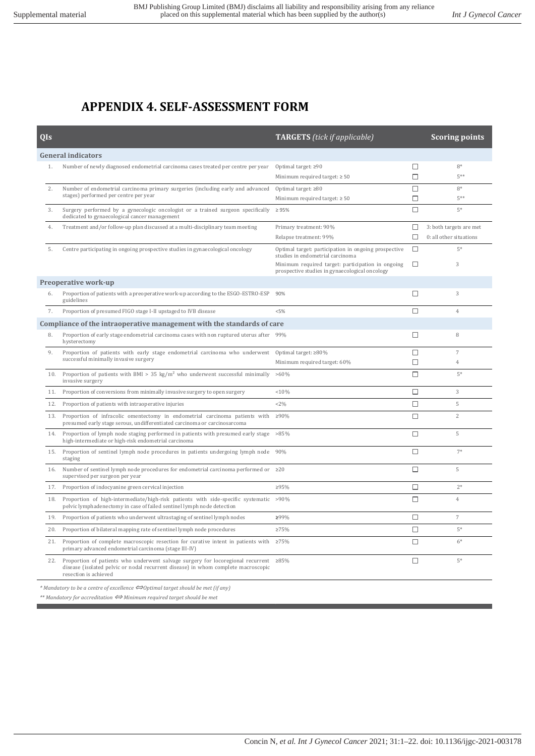# **APPENDIX 4. SELF-ASSESSMENT FORM**

| 0Is                       |                                                                                                                                                                                                           | <b>TARGETS</b> (tick if applicable)                                                                 |        | <b>Scoring points</b>   |  |  |  |
|---------------------------|-----------------------------------------------------------------------------------------------------------------------------------------------------------------------------------------------------------|-----------------------------------------------------------------------------------------------------|--------|-------------------------|--|--|--|
| <b>General indicators</b> |                                                                                                                                                                                                           |                                                                                                     |        |                         |  |  |  |
| 1.                        | Number of newly diagnosed endometrial carcinoma cases treated per centre per year                                                                                                                         | Optimal target: ≥90                                                                                 | □      | $8*$                    |  |  |  |
|                           |                                                                                                                                                                                                           | Minimum required target: $\geq 50$                                                                  | $\Box$ | $5**$                   |  |  |  |
| 2.                        | Number of endometrial carcinoma primary surgeries (including early and advanced                                                                                                                           | Optimal target: $\geq 80$                                                                           | $\Box$ | $8*$                    |  |  |  |
|                           | stages) performed per centre per year                                                                                                                                                                     | Minimum required target: $\geq 50$                                                                  | $\Box$ | $5***$                  |  |  |  |
| 3.                        | Surgery performed by a gynecologic oncologist or a trained surgeon specifically<br>dedicated to gynaecological cancer management                                                                          | $\geq 95\%$                                                                                         | $\Box$ | $5*$                    |  |  |  |
| 4.                        | Treatment and/or follow-up plan discussed at a multi-disciplinary team meeting                                                                                                                            | Primary treatment: 90%                                                                              | □      | 3: both targets are met |  |  |  |
|                           |                                                                                                                                                                                                           | Relapse treatment: 99%                                                                              | □      | 0: all other situations |  |  |  |
| 5.                        | Centre participating in ongoing prospective studies in gynaecological oncology                                                                                                                            | Optimal target: participation in ongoing prospective<br>studies in endometrial carcinoma            | $\Box$ | $5*$                    |  |  |  |
|                           |                                                                                                                                                                                                           | Minimum required target: participation in ongoing<br>prospective studies in gynaecological oncology | □      | 3                       |  |  |  |
|                           | Preoperative work-up                                                                                                                                                                                      |                                                                                                     |        |                         |  |  |  |
| 6.                        | Proportion of patients with a preoperative work-up according to the ESGO-ESTRO-ESP<br>guidelines                                                                                                          | 90%                                                                                                 | □      | 3                       |  |  |  |
| 7.                        | Proportion of presumed FIGO stage I-II upstaged to IVB disease                                                                                                                                            | < 5%                                                                                                | $\Box$ | $\overline{4}$          |  |  |  |
|                           | Compliance of the intraoperative management with the standards of care                                                                                                                                    |                                                                                                     |        |                         |  |  |  |
| 8.                        | Proportion of early stage endometrial carcinoma cases with non ruptured uterus after 99%<br>hysterectomy                                                                                                  |                                                                                                     | □      | 8                       |  |  |  |
| 9.                        | Proportion of patients with early stage endometrial carcinoma who underwent                                                                                                                               | Optimal target: ≥80%                                                                                | □      | $\overline{7}$          |  |  |  |
|                           | successful minimally invasive surgery                                                                                                                                                                     | Minimum required target: 60%                                                                        | □      | $\overline{4}$          |  |  |  |
| 10.                       | Proportion of patients with BMI > 35 kg/m <sup>2</sup> who underwent successful minimally >60%<br>invasive surgery                                                                                        |                                                                                                     | $\Box$ | $5*$                    |  |  |  |
| 11.                       | Proportion of conversions from minimally invasive surgery to open surgery                                                                                                                                 | < 10%                                                                                               | П      | 3                       |  |  |  |
| 12.                       | Proportion of patients with intraoperative injuries                                                                                                                                                       | <2%                                                                                                 | П      | 5                       |  |  |  |
| 13.                       | Proportion of infracolic omentectomy in endometrial carcinoma patients with<br>presumed early stage serous, undifferentiated carcinoma or carcinosarcoma                                                  | ≥90%                                                                                                | $\Box$ | $\overline{c}$          |  |  |  |
| 14.                       | Proportion of lymph node staging performed in patients with presumed early stage<br>high-intermediate or high-risk endometrial carcinoma                                                                  | >85%                                                                                                | п      | 5                       |  |  |  |
| 15.                       | Proportion of sentinel lymph node procedures in patients undergoing lymph node<br>staging                                                                                                                 | 90%                                                                                                 | □      | $7*$                    |  |  |  |
| 16.                       | Number of sentinel lymph node procedures for endometrial carcinoma performed or $\geq 20$<br>supervised per surgeon per year                                                                              |                                                                                                     | $\Box$ | 5                       |  |  |  |
| 17.                       | Proportion of indocyanine green cervical injection                                                                                                                                                        | ≥95%                                                                                                | □      | $2*$                    |  |  |  |
| 18.                       | Proportion of high-intermediate/high-risk patients with side-specific systematic >90%<br>pelvic lymphadenectomy in case of failed sentinel lymph node detection                                           |                                                                                                     | П      | $\overline{4}$          |  |  |  |
| 19.                       | Proportion of patients who underwent ultrastaging of sentinel lymph nodes                                                                                                                                 | ≥99%                                                                                                | $\Box$ | $\overline{7}$          |  |  |  |
| 20.                       | Proportion of bilateral mapping rate of sentinel lymph node procedures                                                                                                                                    | $\geq 75\%$                                                                                         | □      | $5*$                    |  |  |  |
| 21.                       | Proportion of complete macroscopic resection for curative intent in patients with $\geq 75\%$<br>primary advanced endometrial carcinoma (stage III-IV)                                                    |                                                                                                     | $\Box$ | $6*$                    |  |  |  |
| 22.                       | Proportion of patients who underwent salvage surgery for locoregional recurrent $\geq 85\%$<br>disease (isolated pelvic or nodal recurrent disease) in whom complete macroscopic<br>resection is achieved |                                                                                                     | $\Box$ | $5*$                    |  |  |  |

*\* Mandatory to be a centre of excellence* ⇔*Optimal target should be met (if any)* 

*\*\* Mandatory for accreditation* ⇔ *Minimum required target should be met*